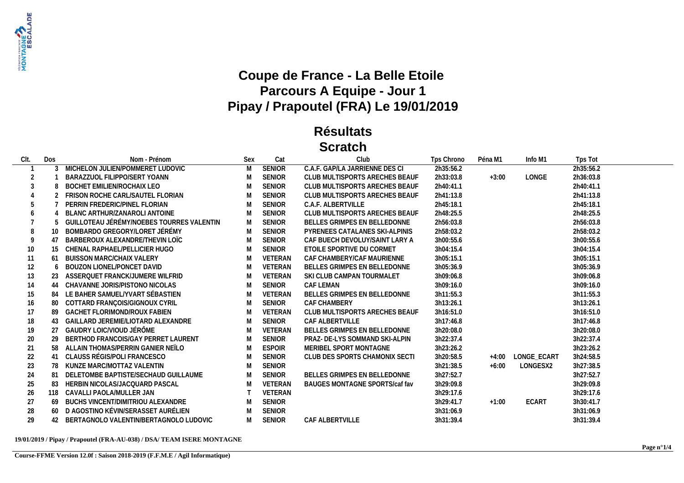

## **Coupe de France - La Belle Etoile Parcours A Equipe - Jour 1 Pipay / Prapoutel (FRA) Le 19/01/2019**

## **Résultats Scratch**

| CIt. | Dos            | Nom - Prénom                              | Sex | Cat            | Club                           | Tps Chrono | Péna M1 | Info M1           | Tps Tot   |
|------|----------------|-------------------------------------------|-----|----------------|--------------------------------|------------|---------|-------------------|-----------|
|      |                | 3 MICHELON JULIEN/POMMERET LUDOVIC        | M   | <b>SENIOR</b>  | C.A.F. GAP/LA JARRIENNE DES CI | 2h35:56.2  |         |                   | 2h35:56.2 |
| 2    |                | BARAZZUOL FILIPPO/SERT YOANN              | M   | <b>SENIOR</b>  | CLUB MULTISPORTS ARECHES BEAUF | 2h33:03.8  | $+3:00$ | LONGE             | 2h36:03.8 |
| 3    |                | BOCHET EMILIEN/ROCHAIX LEO                | M   | <b>SENIOR</b>  | CLUB MULTISPORTS ARECHES BEAUF | 2h40:41.1  |         |                   | 2h40:41.1 |
|      |                | 2 FRISON ROCHE CARL/SAUTEL FLORIAN        | M   | <b>SENIOR</b>  | CLUB MULTISPORTS ARECHES BEAUF | 2h41:13.8  |         |                   | 2h41:13.8 |
| 5    |                | PERRIN FREDERIC/PINEL FLORIAN             | M   | <b>SENIOR</b>  | C.A.F. ALBERTVILLE             | 2h45:18.1  |         |                   | 2h45:18.1 |
|      |                | BLANC ARTHUR/ZANAROLI ANTOINE             | M   | <b>SENIOR</b>  | CLUB MULTISPORTS ARECHES BEAUF | 2h48:25.5  |         |                   | 2h48:25.5 |
|      |                | GUILLOTEAU JÉRÉMY/NOEBES TOURRES VALENTIN | M   | SENIOR         | BELLES GRIMPES EN BELLEDONNE   | 2h56:03.8  |         |                   | 2h56:03.8 |
|      |                | BOMBARDO GREGORY/LORET JÉRÉMY             | M   | SENIOR         | PYRENEES CATALANES SKI-ALPINIS | 2h58:03.2  |         |                   | 2h58:03.2 |
| 9    | 4 <sub>1</sub> | BARBEROUX ALEXANDRE/THEVIN LOIC           | M   | <b>SENIOR</b>  | CAF BUECH DEVOLUY/SAINT LARY A | 3h00:55.6  |         |                   | 3h00:55.6 |
| 10   |                | CHENAL RAPHAEL/PELLICIER HUGO             | M   | <b>SENIOR</b>  | ETOILE SPORTIVE DU CORMET      | 3h04:15.4  |         |                   | 3h04:15.4 |
| 11   | 61             | <b>BUISSON MARC/CHAIX VALERY</b>          | M   | VETERAN        | CAF CHAMBERY/CAF MAURIENNE     | 3h05:15.1  |         |                   | 3h05:15.1 |
| 12   |                | 6 BOUZON LIONEL/PONCET DAVID              | M   | <b>VETERAN</b> | BELLES GRIMPES EN BELLEDONNE   | 3h05:36.9  |         |                   | 3h05:36.9 |
| 13   |                | ASSERQUET FRANCK/JUMERE WILFRID           | M   | VETERAN        | SKI CLUB CAMPAN TOURMALET      | 3h09:06.8  |         |                   | 3h09:06.8 |
| 14   | 44             | CHAVANNE JORIS/PISTONO NICOLAS            | M   | <b>SENIOR</b>  | CAF LEMAN                      | 3h09:16.0  |         |                   | 3h09:16.0 |
| 15   | 84             | LE BAHER SAMUEL/YVART SÉBASTIEN           | M   | VETERAN        | BELLES GRIMPES EN BELLEDONNE   | 3h11:55.3  |         |                   | 3h11:55.3 |
| 16   | 80             | COTTARD FRANÇOIS/GIGNOUX CYRIL            | M   | <b>SENIOR</b>  | <b>CAF CHAMBERY</b>            | 3h13:26.1  |         |                   | 3h13:26.1 |
| 17   | -89            | <b>GACHET FLORIMOND/ROUX FABIEN</b>       | M   | VETERAN        | CLUB MULTISPORTS ARECHES BEAUF | 3h16:51.0  |         |                   | 3h16:51.0 |
| 18   | 43             | GAILLARD JEREMIE/LIOTARD ALEXANDRE        | M   | <b>SENIOR</b>  | CAF ALBERTVILLE                | 3h17:46.8  |         |                   | 3h17:46.8 |
| 19   | 27             | GAUDRY LOIC/VIOUD JÉRÔME                  | M   | VETERAN        | BELLES GRIMPES EN BELLEDONNE   | 3h20:08.0  |         |                   | 3h20:08.0 |
| 20   | 29             | BERTHOD FRANCOIS/GAY PERRET LAURENT       | M   | <b>SENIOR</b>  | PRAZ- DE-LYS SOMMAND SKI-ALPIN | 3h22:37.4  |         |                   | 3h22:37.4 |
| 21   | 58             | ALLAIN THOMAS/PERRIN GANIER NEÏLO         | M   | <b>ESPOIR</b>  | MERIBEL SPORT MONTAGNE         | 3h23:26.2  |         |                   | 3h23:26.2 |
| 22   | 41             | CLAUSS RÉGIS/POLI FRANCESCO               | M   | <b>SENIOR</b>  | CLUB DES SPORTS CHAMONIX SECTI | 3h20:58.5  |         | +4:00 LONGE ECART | 3h24:58.5 |
| 23   |                | 78 KUNZE MARC/MOTTAZ VALENTIN             | M   | <b>SENIOR</b>  |                                | 3h21:38.5  | $+6:00$ | LONGESX2          | 3h27:38.5 |
| 24   | -81            | DELETOMBE BAPTISTE/SECHAUD GUILLAUME      | M   | <b>SENIOR</b>  | BELLES GRIMPES EN BELLEDONNE   | 3h27:52.7  |         |                   | 3h27:52.7 |
| 25   | 83             | HERBIN NICOLAS/JACQUARD PASCAL            | M   | VETERAN        | BAUGES MONTAGNE SPORTS/caf fav | 3h29:09.8  |         |                   | 3h29:09.8 |
| 26   | 118            | CAVALLI PAOLA/MULLER JAN                  |     | VETERAN        |                                | 3h29:17.6  |         |                   | 3h29:17.6 |
| 27   | 69             | BUCHS VINCENT/DIMITRIOU ALEXANDRE         | M   | SENIOR         |                                | 3h29:41.7  | $+1:00$ | <b>ECART</b>      | 3h30:41.7 |
| 28   | 60             | D AGOSTINO KÉVIN/SERASSET AURÉLIEN        |     | <b>SENIOR</b>  |                                | 3h31:06.9  |         |                   | 3h31:06.9 |
| 29   |                | 42 BERTAGNOLO VALENTIN/BERTAGNOLO LUDOVIC |     | <b>SENIOR</b>  | CAF ALBERTVILLE                | 3h31:39.4  |         |                   | 3h31:39.4 |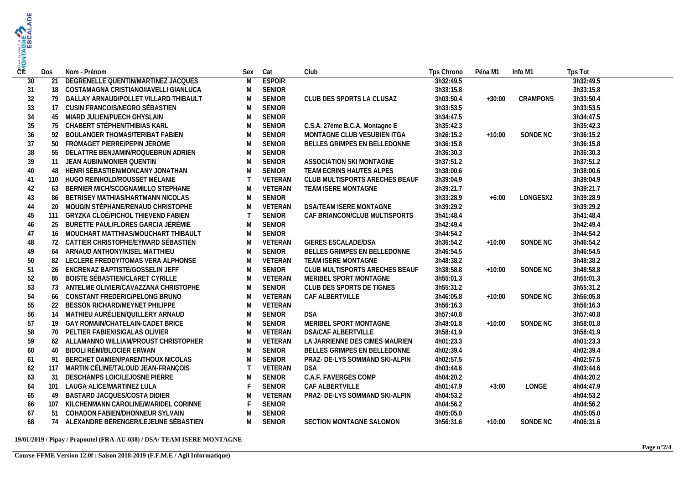| CTE. | Dos | Nom - Prénom                             | Sex            | Cat           | Club                           | Tps Chrono | Péna M1  | Info M1  | Tps Tot   |
|------|-----|------------------------------------------|----------------|---------------|--------------------------------|------------|----------|----------|-----------|
| 30   | 21  | DEGRENELLE QUENTIN/MARTINEZ JACQUES      | $\overline{M}$ | <b>ESPOIR</b> |                                | 3h32:49.5  |          |          | 3h32:49.5 |
| 31   |     | 18 COSTAMAGNA CRISTIANO/IAVELLI GIANLUCA | M              | <b>SENIOR</b> |                                | 3h33:15.8  |          |          | 3h33:15.8 |
| 32   |     | 79 GALLAY ARNAUD/POLLET VILLARD THIBAULT | M              | <b>SENIOR</b> | CLUB DES SPORTS LA CLUSAZ      | 3h03:50.4  | $+30:00$ | CRAMPONS | 3h33:50.4 |
| 33   | 17  | CUSIN FRANCOIS/NEGRO SÉBASTIEN           | M              | SENIOR        |                                | 3h33:53.5  |          |          | 3h33:53.5 |
| 34   |     | 45 MIARD JULIEN/PUECH GHYSLAIN           | M              | <b>SENIOR</b> |                                | 3h34:47.5  |          |          | 3h34:47.5 |
| 35   |     | 75 CHABERT STÉPHEN/THIBIAS KARL          | M              | SENIOR        | C.S.A. 27ème B.C.A. Montagne E | 3h35:42.3  |          |          | 3h35:42.3 |
| 36   | 92  | BOULANGER THOMAS/TERIBAT FABIEN          | M              | SENIOR        | MONTAGNE CLUB VESUBIEN ITGA    | 3h26:15.2  | $+10:00$ | SONDE NC | 3h36:15.2 |
| 37   |     | 50 FROMAGET PIERRE/PEPIN JEROME          | M              | <b>SENIOR</b> | BELLES GRIMPES EN BELLEDONNE   | 3h36:15.8  |          |          | 3h36:15.8 |
| 38   |     | 55 DELATTRE BENJAMIN/ROQUEBRUN ADRIEN    | M              | <b>SENIOR</b> |                                | 3h36:30.3  |          |          | 3h36:30.3 |
| 39   | 11  | JEAN AUBIN/MONIER QUENTIN                | M              | <b>SENIOR</b> | ASSOCIATION SKI MONTAGNE       | 3h37:51.2  |          |          | 3h37:51.2 |
| 40   | 48  | HENRI SÉBASTIEN/MONCANY JONATHAN         | M              | SENIOR        | TEAM ECRINS HAUTES ALPES       | 3h38:00.6  |          |          | 3h38:00.6 |
| 41   |     | 110 HUGO REINHOLD/ROUSSET MÉLANIE        | $\top$         | VETERAN       | CLUB MULTISPORTS ARECHES BEAUF | 3h39:04.9  |          |          | 3h39:04.9 |
| 42   | 63  | BERNIER MICH/SCOGNAMILLO STEPHANE        | M              | VETERAN       | TEAM ISERE MONTAGNE            | 3h39:21.7  |          |          | 3h39:21.7 |
| 43   |     | 86 BETRISEY MATHIAS/HARTMANN NICOLAS     | M              | <b>SENIOR</b> |                                | 3h33:28.9  | $+6:00$  | LONGESX2 | 3h39:28.9 |
| 44   |     | 20 MOUGIN STÉPHANE/RENAUD CHRISTOPHE     | M              | VETERAN       | DSA/TEAM ISERE MONTAGNE        | 3h39:29.2  |          |          | 3h39:29.2 |
| 45   |     | 111 GRYZKA CLOÉ/PICHOL THIEVEND FABIEN   | $\top$         | <b>SENIOR</b> | CAF BRIANCON/CLUB MULTISPORTS  | 3h41:48.4  |          |          | 3h41:48.4 |
| 46   | 25  | BURETTE PAUL/FLORES GARCIA JÉRÉMIE       | M              | SENIOR        |                                | 3h42:49.4  |          |          | 3h42:49.4 |
| 47   |     | 16 MOUCHART MATTHIAS/MOUCHART THIBAULT   | M              | SENIOR        |                                | 3h44:54.2  |          |          | 3h44:54.2 |
| 48   |     | 72 CATTIER CHRISTOPHE/EYMARD SÉBASTIEN   | M              | VETERAN       | GIERES ESCALADE/DSA            | 3h36:54.2  | $+10:00$ | SONDE NC | 3h46:54.2 |
| 49   |     | 64 ARNAUD ANTHONY/KISEL MATTHIEU         | M              | <b>SENIOR</b> | BELLES GRIMPES EN BELLEDONNE   | 3h46:54.5  |          |          | 3h46:54.5 |
| 50   |     | 82 LECLERE FREDDY/TOMAS VERA ALPHONSE    | M              | VETERAN       | TEAM ISERE MONTAGNE            | 3h48:38.2  |          |          | 3h48:38.2 |
| 51   |     | 26 ENCRENAZ BAPTISTE/GOSSELIN JEFF       | M              | <b>SENIOR</b> | CLUB MULTISPORTS ARECHES BEAUF | 3h38:58.8  | $+10:00$ | SONDE NC | 3h48:58.8 |
| 52   |     | 85 BOISTE SÉBASTIEN/CLARET CYRILLE       | M              | VETERAN       | MERIBEL SPORT MONTAGNE         | 3h55:01.3  |          |          | 3h55:01.3 |
| 53   |     | 73 ANTELME OLIVIER/CAVAZZANA CHRISTOPHE  | M              | <b>SENIOR</b> | CLUB DES SPORTS DE TIGNES      | 3h55:31.2  |          |          | 3h55:31.2 |
| 54   | 66  | CONSTANT FREDERIC/PELONG BRUNO           | M              | VETERAN       | CAF ALBERTVILLE                | 3h46:05.8  | $+10:00$ | SONDE NC | 3h56:05.8 |
| 55   | 22  | BESSON RICHARD/MEYNET PHILIPPE           | M              | VETERAN       |                                | 3h56:16.3  |          |          | 3h56:16.3 |
| 56   |     | 14 MATHIEU AURÉLIEN/QUILLERY ARNAUD      | M              | <b>SENIOR</b> | <b>DSA</b>                     | 3h57:40.8  |          |          | 3h57:40.8 |
| 57   |     | 19 GAY ROMAIN/CHATELAIN-CADET BRICE      | M              | <b>SENIOR</b> | MERIBEL SPORT MONTAGNE         | 3h48:01.8  | $+10:00$ | SONDE NC | 3h58:01.8 |
| 58   |     | 70 PELTIER FABIEN/SIGALAS OLIVIER        | M              | VETERAN       | <b>DSA/CAF ALBERTVILLE</b>     | 3h58:41.9  |          |          | 3h58:41.9 |
| 59   |     | 62 ALLAMANNO WILLIAM/PROUST CHRISTOPHER  | M              | VETERAN       | LA JARRIENNE DES CIMES MAURIEN | 4h01:23.3  |          |          | 4h01:23.3 |
| 60   |     | 40 BIDOLI RÉMI/BLOCIER ERWAN             | M              | <b>SENIOR</b> | BELLES GRIMPES EN BELLEDONNE   | 4h02:39.4  |          |          | 4h02:39.4 |
| 61   | 91  | BERCHET DAMIEN/PARENTHOUX NICOLAS        | M              | SENIOR        | PRAZ- DE-LYS SOMMAND SKI-ALPIN | 4h02:57.5  |          |          | 4h02:57.5 |
| 62   |     | 117 MARTIN CÉLINE/TALOUD JEAN-FRANÇOIS   | $\top$         | VETERAN       | <b>DSA</b>                     | 4h03:44.6  |          |          | 4h03:44.6 |
| 63   | 31  | DESCHAMPS LOIC/LEJOSNE PIERRE            | M              | <b>SENIOR</b> | C.A.F. FAVERGES COMP           | 4h04:20.2  |          |          | 4h04:20.2 |
| 64   | 101 | LAUGA ALICE/MARTINEZ LULA                |                | <b>SENIOR</b> | CAF ALBERTVILLE                | 4h01:47.9  | $+3:00$  | LONGE    | 4h04:47.9 |
| 65   | 49  | BASTARD JACQUES/COSTA DIDIER             | M              | VETERAN       | PRAZ- DE-LYS SOMMAND SKI-ALPIN | 4h04:53.2  |          |          | 4h04:53.2 |
| 66   |     | 107 KILCHENMANN CAROLINE/WARIDEL CORINNE |                | SENIOR        |                                | 4h04:56.2  |          |          | 4h04:56.2 |
| 67   | 51  | COHADON FABIEN/DHONNEUR SYLVAIN          | M              | <b>SENIOR</b> |                                | 4h05:05.0  |          |          | 4h05:05.0 |
| 68   |     | 74 ALEXANDRE BÉRENGER/LEJEUNE SÉBASTIEN  | M              | <b>SENIOR</b> | SECTION MONTAGNE SALOMON       | 3h56:31.6  | $+10:00$ | SONDE NC | 4h06:31.6 |
|      |     |                                          |                |               |                                |            |          |          |           |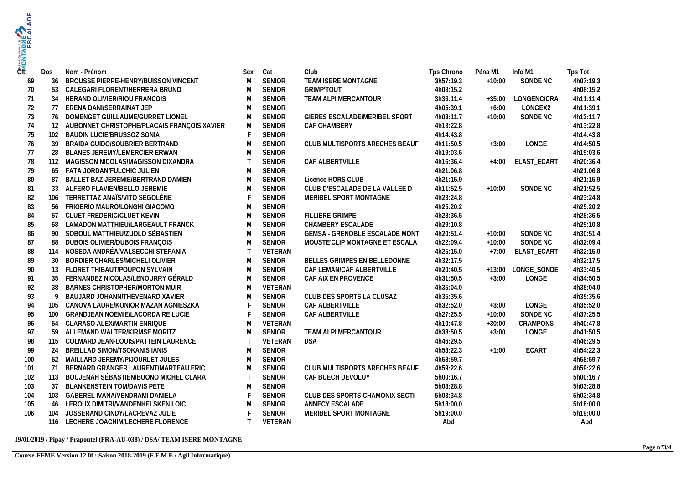| ČÍt. | Dos | Nom - Prénom                                |              | Sex Cat       | Club                                  | Tps Chrono | Péna M1  | Info M1            | Tps Tot   |
|------|-----|---------------------------------------------|--------------|---------------|---------------------------------------|------------|----------|--------------------|-----------|
| 69   | 36  | BROUSSE PIERRE-HENRY/BUISSON VINCENT        | M            | <b>SENIOR</b> | <b>TEAM ISERE MONTAGNE</b>            | 3h57:19.3  | $+10:00$ | SONDE NC           | 4h07:19.3 |
| 70   |     | 53 CALEGARI FLORENT/HERRERA BRUNO           | M            | <b>SENIOR</b> | <b>GRIMP'TOUT</b>                     | 4h08:15.2  |          |                    | 4h08:15.2 |
| 71   |     | 34 HERAND OLIVIER/RIOU FRANCOIS             | M            | <b>SENIOR</b> | TEAM ALPI MERCANTOUR                  | 3h36:11.4  | $+35:00$ | LONGENC/CRA        | 4h11:11.4 |
| 72   |     | 77 ERENA DANI/SERRAINAT JEP                 | M            | <b>SENIOR</b> |                                       | 4h05:39.1  | $+6:00$  | LONGEX2            | 4h11:39.1 |
| 73   |     | 76 DOMENGET GUILLAUME/GURRET LIONEL         | M            | <b>SENIOR</b> | GIERES ESCALADE/MERIBEL SPORT         | 4h03:11.7  | $+10:00$ | SONDE NC           | 4h13:11.7 |
| 74   | 12  | AUBONNET CHRISTOPHE/PLACAIS FRANÇOIS XAVIER | M            | <b>SENIOR</b> | CAF CHAMBERY                          | 4h13:22.8  |          |                    | 4h13:22.8 |
| 75   | 102 | BAUDIN LUCIE/BRUSSOZ SONIA                  | $\mathsf F$  | <b>SENIOR</b> |                                       | 4h14:43.8  |          |                    | 4h14:43.8 |
| 76   | 39  | BRAIDA GUIDO/SOUBRIER BERTRAND              | M            | <b>SENIOR</b> | CLUB MULTISPORTS ARECHES BEAUF        | 4h11:50.5  | $+3:00$  | LONGE              | 4h14:50.5 |
| 77   |     | 28 BLANES JEREMY/LEMERCIER ERWAN            | M            | <b>SENIOR</b> |                                       | 4h19:03.6  |          |                    | 4h19:03.6 |
| 78   |     | 112 MAGISSON NICOLAS/MAGISSON DIXANDRA      | $\top$       | <b>SENIOR</b> | CAF ALBERTVILLE                       | 4h16:36.4  |          | +4:00 ELAST_ECART  | 4h20:36.4 |
| 79   |     | 65 FATA JORDAN/FULCHIC JULIEN               | M            | <b>SENIOR</b> |                                       | 4h21:06.8  |          |                    | 4h21:06.8 |
| 80   | 87  | BALLET BAZ JEREMIE/BERTRAND DAMIEN          | M            | <b>SENIOR</b> | Licence HORS CLUB                     | 4h21:15.9  |          |                    | 4h21:15.9 |
| 81   | 33  | ALFERO FLAVIEN/BELLO JEREMIE                | M            | <b>SENIOR</b> | CLUB D'ESCALADE DE LA VALLEE D        | 4h11:52.5  | $+10:00$ | SONDE NC           | 4h21:52.5 |
| 82   |     | 106 TERRETTAZ ANAÏS/VITO SÉGOLÈNE           | $\mathsf F$  | <b>SENIOR</b> | MERIBEL SPORT MONTAGNE                | 4h23:24.8  |          |                    | 4h23:24.8 |
| 83   |     | 56 FRIGERIO MAURO/LONGHI GIACOMO            | M            | <b>SENIOR</b> |                                       | 4h25:20.2  |          |                    | 4h25:20.2 |
| 84   |     | 57 CLUET FREDERIC/CLUET KEVIN               | M            | <b>SENIOR</b> | <b>FILLIERE GRIMPE</b>                | 4h28:36.5  |          |                    | 4h28:36.5 |
| 85   |     | 68 LAMADON MATTHIEU/LARGEAULT FRANCK        | M            | <b>SENIOR</b> | CHAMBERY ESCALADE                     | 4h29:10.8  |          |                    | 4h29:10.8 |
| 86   |     | 90 SOBOUL MATTHIEU/ZUOLO SÉBASTIEN          | M            | <b>SENIOR</b> | <b>GEMSA - GRENOBLE ESCALADE MONT</b> | 4h20:51.4  | $+10:00$ | SONDE NC           | 4h30:51.4 |
| 87   | 88  | DUBOIS OLIVIER/DUBOIS FRANÇOIS              | M            | <b>SENIOR</b> | MOUSTE'CLIP MONTAGNE ET ESCALA        | 4h22:09.4  | $+10:00$ | SONDE NC           | 4h32:09.4 |
| 88   |     | 114 NOSEDA ANDRÉA/VALSECCHI STEFANIA        | $\top$       | VETERAN       |                                       | 4h25:15.0  | $+7:00$  | ELAST_ECART        | 4h32:15.0 |
| 89   |     | 30 BORDIER CHARLES/MICHELI OLIVIER          | M            | <b>SENIOR</b> | BELLES GRIMPES EN BELLEDONNE          | 4h32:17.5  |          |                    | 4h32:17.5 |
| 90   |     | 13 FLORET THIBAUT/POUPON SYLVAIN            | M            | <b>SENIOR</b> | CAF LEMAN/CAF ALBERTVILLE             | 4h20:40.5  |          | +13:00 LONGE_SONDE | 4h33:40.5 |
| 91   |     | 35 FERNANDEZ NICOLAS/LENOURRY GÉRALD        | M            | <b>SENIOR</b> | CAF AIX EN PROVENCE                   | 4h31:50.5  | $+3:00$  | LONGE              | 4h34:50.5 |
| 92   | 38  | BARNES CHRISTOPHER/MORTON MUIR              | M            | VETERAN       |                                       | 4h35:04.0  |          |                    | 4h35:04.0 |
| 93   | 9   | BAUJARD JOHANN/THEVENARD XAVIER             | M            | <b>SENIOR</b> | CLUB DES SPORTS LA CLUSAZ             | 4h35:35.6  |          |                    | 4h35:35.6 |
| 94   | 105 | CANOVA LAURE/KONIOR MAZAN AGNIESZKA         | $\mathsf F$  | <b>SENIOR</b> | CAF ALBERTVILLE                       | 4h32:52.0  | $+3:00$  | LONGE              | 4h35:52.0 |
| 95   |     | 100 GRANDJEAN NOEMIE/LACORDAIRE LUCIE       | $\mathsf F$  | <b>SENIOR</b> | CAF ALBERTVILLE                       | 4h27:25.5  | $+10:00$ | SONDE NC           | 4h37:25.5 |
| 96   |     | 54 CLARASO ALEX/MARTIN ENRIQUE              | M            | VETERAN       |                                       | 4h10:47.8  | $+30:00$ | <b>CRAMPONS</b>    | 4h40:47.8 |
| 97   | 59  | ALLEMAND WALTER/KIRMSE MORITZ               | M            | <b>SENIOR</b> | TEAM ALPI MERCANTOUR                  | 4h38:50.5  | $+3:00$  | LONGE              | 4h41:50.5 |
| 98   |     | 115 COLMARD JEAN-LOUIS/PATTEIN LAURENCE     | $\top$       | VETERAN       | DSA                                   | 4h46:29.5  |          |                    | 4h46:29.5 |
| 99   |     | 24 BREILLAD SIMON/TSOKANIS IANIS            | M            | <b>SENIOR</b> |                                       | 4h53:22.3  | $+1:00$  | ECART              | 4h54:22.3 |
| 100  |     | 52 MAILLARD JEREMY/PIJOURLET JULES          | M            | <b>SENIOR</b> |                                       | 4h58:59.7  |          |                    | 4h58:59.7 |
| 101  | 71  | BERNARD GRANGER LAURENT/MARTEAU ERIC        | M            | <b>SENIOR</b> | CLUB MULTISPORTS ARECHES BEAUF        | 4h59:22.6  |          |                    | 4h59:22.6 |
| 102  |     | 113 BOUJENAH SÉBASTIEN/BUONO MICHEL CLARA   | $\mathsf{T}$ | <b>SENIOR</b> | CAF BUECH DEVOLUY                     | 5h00:16.7  |          |                    | 5h00:16.7 |
| 103  | 37  | <b>BLANKENSTEIN TOM/DAVIS PETE</b>          | M            | <b>SENIOR</b> |                                       | 5h03:28.8  |          |                    | 5h03:28.8 |
| 104  |     | 103 GABEREL IVANA/VENDRAMI DANIELA          | $\mathsf{F}$ | <b>SENIOR</b> | CLUB DES SPORTS CHAMONIX SECTI        | 5h03:34.8  |          |                    | 5h03:34.8 |
| 105  |     | 46 LEROUX DIMITRI/VANDENHELSKEN LOIC        | M            | <b>SENIOR</b> | ANNECY ESCALADE                       | 5h18:00.0  |          |                    | 5h18:00.0 |
| 106  | 104 | JOSSERAND CINDY/LACREVAZ JULIE              | $\mathsf{F}$ | <b>SENIOR</b> | MERIBEL SPORT MONTAGNE                | 5h19:00.0  |          |                    | 5h19:00.0 |
|      |     | 116 LECHERE JOACHIM/LECHERE FLORENCE        | $\top$       | VETERAN       |                                       | Abd        |          |                    | Abd       |
|      |     |                                             |              |               |                                       |            |          |                    |           |